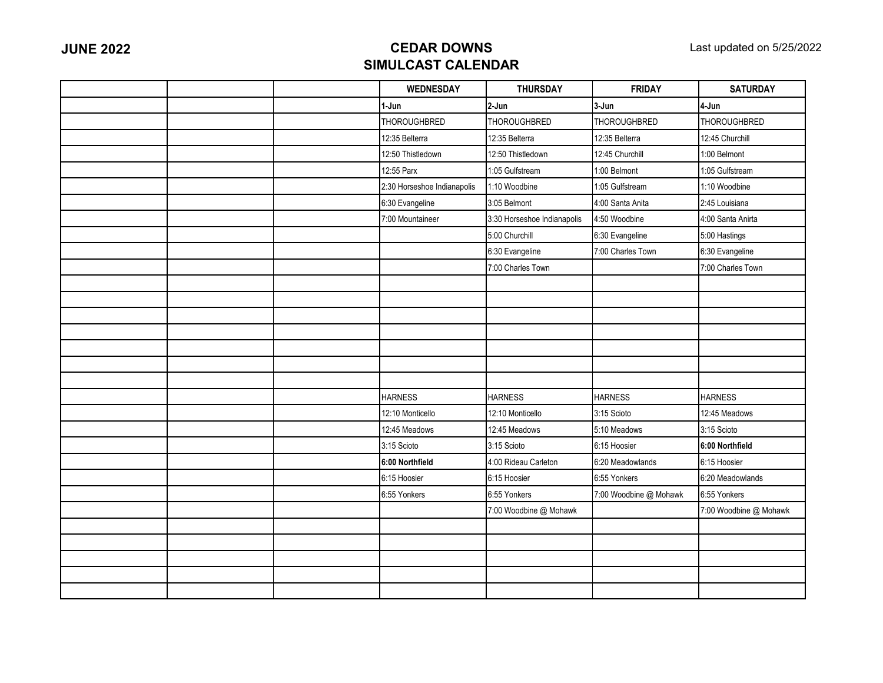|  | <b>WEDNESDAY</b>            | <b>THURSDAY</b>             | <b>FRIDAY</b>          | <b>SATURDAY</b>        |
|--|-----------------------------|-----------------------------|------------------------|------------------------|
|  | 1-Jun                       | 2-Jun                       | 3-Jun                  | 4-Jun                  |
|  | <b>THOROUGHBRED</b>         | <b>THOROUGHBRED</b>         | <b>THOROUGHBRED</b>    | <b>THOROUGHBRED</b>    |
|  | 12:35 Belterra              | 12:35 Belterra              | 12:35 Belterra         | 12:45 Churchill        |
|  | 12:50 Thistledown           | 12:50 Thistledown           | 12:45 Churchill        | 1:00 Belmont           |
|  | 12:55 Parx                  | 1:05 Gulfstream             | 1:00 Belmont           | 1:05 Gulfstream        |
|  | 2:30 Horseshoe Indianapolis | 1:10 Woodbine               | 1:05 Gulfstream        | 1:10 Woodbine          |
|  | 6:30 Evangeline             | 3:05 Belmont                | 4:00 Santa Anita       | 2:45 Louisiana         |
|  | 7:00 Mountaineer            | 3:30 Horseshoe Indianapolis | 4:50 Woodbine          | 4:00 Santa Anirta      |
|  |                             | 5:00 Churchill              | 6:30 Evangeline        | 5:00 Hastings          |
|  |                             | 6:30 Evangeline             | 7:00 Charles Town      | 6:30 Evangeline        |
|  |                             | 7:00 Charles Town           |                        | 7:00 Charles Town      |
|  |                             |                             |                        |                        |
|  |                             |                             |                        |                        |
|  |                             |                             |                        |                        |
|  |                             |                             |                        |                        |
|  |                             |                             |                        |                        |
|  |                             |                             |                        |                        |
|  |                             |                             |                        |                        |
|  | <b>HARNESS</b>              | <b>HARNESS</b>              | <b>HARNESS</b>         | <b>HARNESS</b>         |
|  | 12:10 Monticello            | 12:10 Monticello            | 3:15 Scioto            | 12:45 Meadows          |
|  | 12:45 Meadows               | 12:45 Meadows               | 5:10 Meadows           | 3:15 Scioto            |
|  | 3:15 Scioto                 | 3:15 Scioto                 | 6:15 Hoosier           | 6:00 Northfield        |
|  | 6:00 Northfield             | 4:00 Rideau Carleton        | 6:20 Meadowlands       | 6:15 Hoosier           |
|  | 6:15 Hoosier                | 6:15 Hoosier                | 6:55 Yonkers           | 6:20 Meadowlands       |
|  | 6:55 Yonkers                | 6:55 Yonkers                | 7:00 Woodbine @ Mohawk | 6:55 Yonkers           |
|  |                             | 7:00 Woodbine @ Mohawk      |                        | 7:00 Woodbine @ Mohawk |
|  |                             |                             |                        |                        |
|  |                             |                             |                        |                        |
|  |                             |                             |                        |                        |
|  |                             |                             |                        |                        |
|  |                             |                             |                        |                        |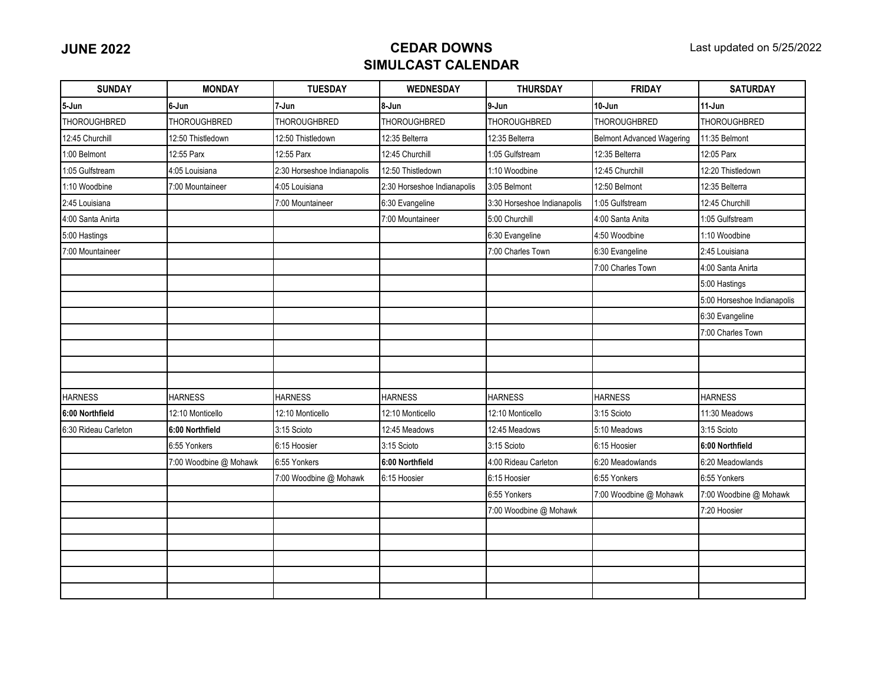| <b>SUNDAY</b>        | <b>MONDAY</b>          | <b>TUESDAY</b>              | <b>WEDNESDAY</b>            | <b>THURSDAY</b>             | <b>FRIDAY</b>                    | <b>SATURDAY</b>             |
|----------------------|------------------------|-----------------------------|-----------------------------|-----------------------------|----------------------------------|-----------------------------|
| 5-Jun                | 6-Jun                  | 7-Jun                       | 8-Jun                       | 9-Jun                       | 10-Jun                           | $11-Jun$                    |
| <b>THOROUGHBRED</b>  | <b>THOROUGHBRED</b>    | <b>THOROUGHBRED</b>         | THOROUGHBRED                | <b>THOROUGHBRED</b>         | THOROUGHBRED                     | <b>THOROUGHBRED</b>         |
| 12:45 Churchill      | 12:50 Thistledown      | 12:50 Thistledown           | 12:35 Belterra              | 12:35 Belterra              | <b>Belmont Advanced Wagering</b> | 11:35 Belmont               |
| 1:00 Belmont         | 12:55 Parx             | 12:55 Parx                  | 12:45 Churchill             | 1:05 Gulfstream             | 12:35 Belterra                   | 12:05 Parx                  |
| :05 Gulfstream       | 4:05 Louisiana         | 2:30 Horseshoe Indianapolis | 12:50 Thistledown           | 1:10 Woodbine               | 12:45 Churchill                  | 12:20 Thistledown           |
| 1:10 Woodbine        | 7:00 Mountaineer       | 4:05 Louisiana              | 2:30 Horseshoe Indianapolis | 3:05 Belmont                | 12:50 Belmont                    | 12:35 Belterra              |
| 2:45 Louisiana       |                        | 7:00 Mountaineer            | 6:30 Evangeline             | 3:30 Horseshoe Indianapolis | 1:05 Gulfstream                  | 12:45 Churchill             |
| 4:00 Santa Anirta    |                        |                             | 7:00 Mountaineer            | 5:00 Churchill              | 4:00 Santa Anita                 | 1:05 Gulfstream             |
| 5:00 Hastings        |                        |                             |                             | 6:30 Evangeline             | 4:50 Woodbine                    | 1:10 Woodbine               |
| 7:00 Mountaineer     |                        |                             |                             | 7:00 Charles Town           | 6:30 Evangeline                  | 2:45 Louisiana              |
|                      |                        |                             |                             |                             | 7:00 Charles Town                | 4:00 Santa Anirta           |
|                      |                        |                             |                             |                             |                                  | 5:00 Hastings               |
|                      |                        |                             |                             |                             |                                  | 5:00 Horseshoe Indianapolis |
|                      |                        |                             |                             |                             |                                  | 6:30 Evangeline             |
|                      |                        |                             |                             |                             |                                  | 7:00 Charles Town           |
|                      |                        |                             |                             |                             |                                  |                             |
|                      |                        |                             |                             |                             |                                  |                             |
|                      |                        |                             |                             |                             |                                  |                             |
| <b>HARNESS</b>       | <b>HARNESS</b>         | <b>HARNESS</b>              | <b>HARNESS</b>              | <b>HARNESS</b>              | <b>HARNESS</b>                   | <b>HARNESS</b>              |
| 6:00 Northfield      | 12:10 Monticello       | 12:10 Monticello            | 12:10 Monticello            | 12:10 Monticello            | 3:15 Scioto                      | 11:30 Meadows               |
| 6:30 Rideau Carleton | 6:00 Northfield        | 3:15 Scioto                 | 12:45 Meadows               | 12:45 Meadows               | 5:10 Meadows                     | 3:15 Scioto                 |
|                      | 6:55 Yonkers           | 6:15 Hoosier                | 3:15 Scioto                 | 3:15 Scioto                 | 6:15 Hoosier                     | 6:00 Northfield             |
|                      | 7:00 Woodbine @ Mohawk | 6:55 Yonkers                | 6:00 Northfield             | 4:00 Rideau Carleton        | 6:20 Meadowlands                 | 6:20 Meadowlands            |
|                      |                        | 7:00 Woodbine @ Mohawk      | 6:15 Hoosier                | 6:15 Hoosier                | 6:55 Yonkers                     | 6:55 Yonkers                |
|                      |                        |                             |                             | 6:55 Yonkers                | 7:00 Woodbine @ Mohawk           | 7:00 Woodbine @ Mohawk      |
|                      |                        |                             |                             | 7:00 Woodbine @ Mohawk      |                                  | 7:20 Hoosier                |
|                      |                        |                             |                             |                             |                                  |                             |
|                      |                        |                             |                             |                             |                                  |                             |
|                      |                        |                             |                             |                             |                                  |                             |
|                      |                        |                             |                             |                             |                                  |                             |
|                      |                        |                             |                             |                             |                                  |                             |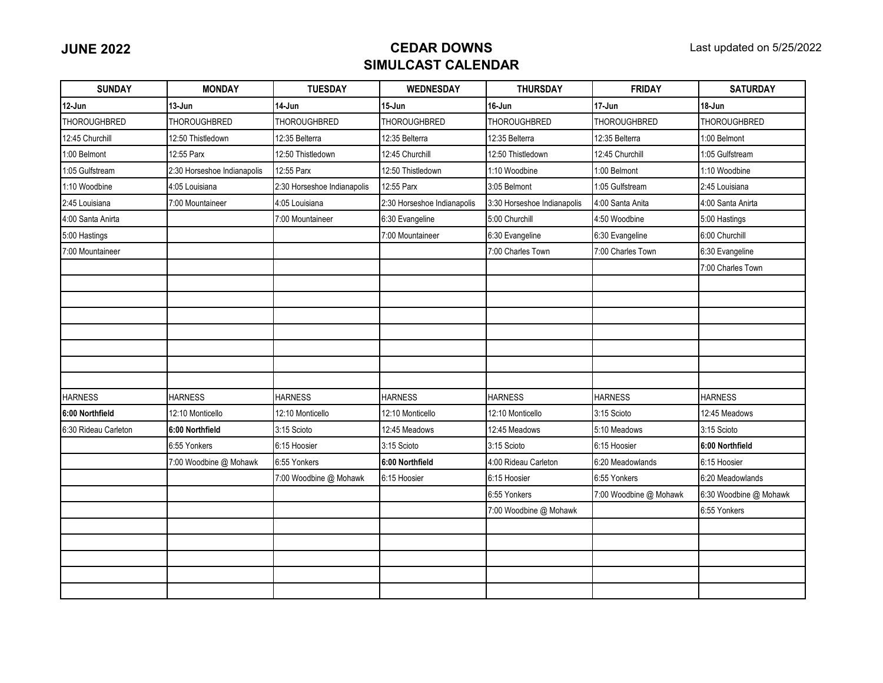| <b>SUNDAY</b>        | <b>MONDAY</b>               | <b>TUESDAY</b>              | <b>WEDNESDAY</b>            | <b>THURSDAY</b>             | <b>FRIDAY</b>          | <b>SATURDAY</b>        |
|----------------------|-----------------------------|-----------------------------|-----------------------------|-----------------------------|------------------------|------------------------|
| 12-Jun               | 13-Jun                      | 14-Jun                      | 15-Jun                      | 16-Jun                      | 17-Jun                 | 18-Jun                 |
| <b>THOROUGHBRED</b>  | <b>THOROUGHBRED</b>         | <b>THOROUGHBRED</b>         | <b>THOROUGHBRED</b>         | <b>THOROUGHBRED</b>         | <b>THOROUGHBRED</b>    | <b>THOROUGHBRED</b>    |
| 12:45 Churchill      | 12:50 Thistledown           | 12:35 Belterra              | 12:35 Belterra              | 12:35 Belterra              | 12:35 Belterra         | 1:00 Belmont           |
| 1:00 Belmont         | 12:55 Parx                  | 12:50 Thistledown           | 12:45 Churchill             | 12:50 Thistledown           | 12:45 Churchill        | 1:05 Gulfstream        |
| 1:05 Gulfstream      | 2:30 Horseshoe Indianapolis | 12:55 Parx                  | 12:50 Thistledown           | 1:10 Woodbine               | 1:00 Belmont           | 1:10 Woodbine          |
| 1:10 Woodbine        | 4:05 Louisiana              | 2:30 Horseshoe Indianapolis | 12:55 Parx                  | 3:05 Belmont                | 1:05 Gulfstream        | 2:45 Louisiana         |
| 2:45 Louisiana       | 7:00 Mountaineer            | 4:05 Louisiana              | 2:30 Horseshoe Indianapolis | 3:30 Horseshoe Indianapolis | 4:00 Santa Anita       | 4:00 Santa Anirta      |
| 4:00 Santa Anirta    |                             | 7:00 Mountaineer            | 6:30 Evangeline             | 5:00 Churchill              | 4:50 Woodbine          | 5:00 Hastings          |
| 5:00 Hastings        |                             |                             | 7:00 Mountaineer            | 6:30 Evangeline             | 6:30 Evangeline        | 6:00 Churchill         |
| 7:00 Mountaineer     |                             |                             |                             | 7:00 Charles Town           | 7:00 Charles Town      | 6:30 Evangeline        |
|                      |                             |                             |                             |                             |                        | 7:00 Charles Town      |
|                      |                             |                             |                             |                             |                        |                        |
|                      |                             |                             |                             |                             |                        |                        |
|                      |                             |                             |                             |                             |                        |                        |
|                      |                             |                             |                             |                             |                        |                        |
|                      |                             |                             |                             |                             |                        |                        |
|                      |                             |                             |                             |                             |                        |                        |
|                      |                             |                             |                             |                             |                        |                        |
| <b>HARNESS</b>       | <b>HARNESS</b>              | <b>HARNESS</b>              | <b>HARNESS</b>              | <b>HARNESS</b>              | <b>HARNESS</b>         | <b>HARNESS</b>         |
| 6:00 Northfield      | 12:10 Monticello            | 12:10 Monticello            | 12:10 Monticello            | 12:10 Monticello            | 3:15 Scioto            | 12:45 Meadows          |
| 6:30 Rideau Carleton | 6:00 Northfield             | 3:15 Scioto                 | 12:45 Meadows               | 12:45 Meadows               | 5:10 Meadows           | 3:15 Scioto            |
|                      | 6:55 Yonkers                | 6:15 Hoosier                | 3:15 Scioto                 | 3:15 Scioto                 | 6:15 Hoosier           | 6:00 Northfield        |
|                      | 7:00 Woodbine @ Mohawk      | 6:55 Yonkers                | 6:00 Northfield             | 4:00 Rideau Carleton        | 6:20 Meadowlands       | 6:15 Hoosier           |
|                      |                             | 7:00 Woodbine @ Mohawk      | 6:15 Hoosier                | 6:15 Hoosier                | 6:55 Yonkers           | 6:20 Meadowlands       |
|                      |                             |                             |                             | 6:55 Yonkers                | 7:00 Woodbine @ Mohawk | 6:30 Woodbine @ Mohawk |
|                      |                             |                             |                             | 7:00 Woodbine @ Mohawk      |                        | 6:55 Yonkers           |
|                      |                             |                             |                             |                             |                        |                        |
|                      |                             |                             |                             |                             |                        |                        |
|                      |                             |                             |                             |                             |                        |                        |
|                      |                             |                             |                             |                             |                        |                        |
|                      |                             |                             |                             |                             |                        |                        |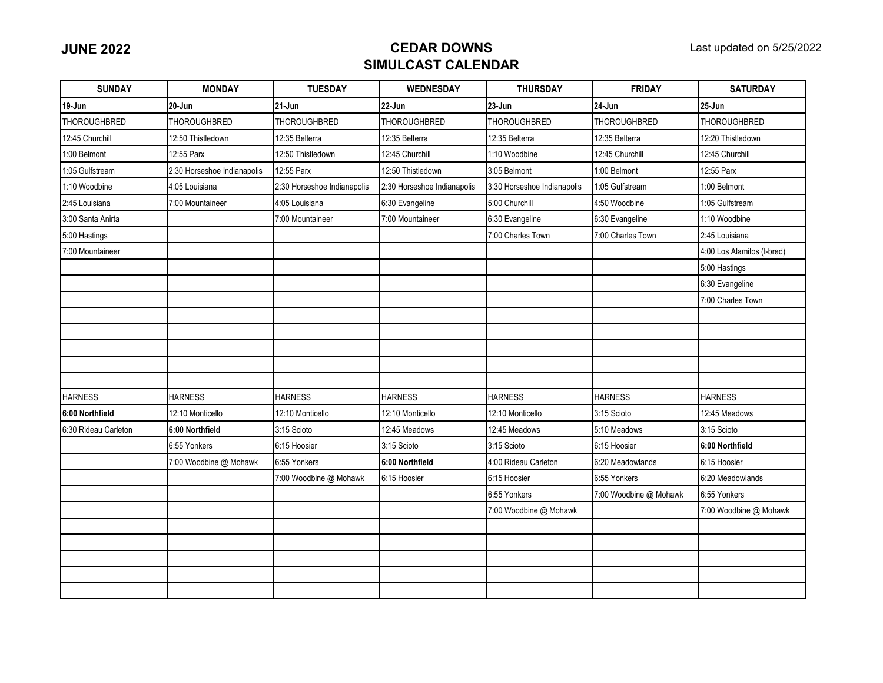| <b>SUNDAY</b>        | <b>MONDAY</b>               | <b>TUESDAY</b>              | <b>WEDNESDAY</b>            | <b>THURSDAY</b>             | <b>FRIDAY</b>          | <b>SATURDAY</b>            |
|----------------------|-----------------------------|-----------------------------|-----------------------------|-----------------------------|------------------------|----------------------------|
| 19-Jun               | 20-Jun                      | 21 Jun                      | 22-Jun                      | 23-Jun                      | 24 Jun                 | $25 - Jun$                 |
| <b>THOROUGHBRED</b>  | <b>THOROUGHBRED</b>         | THOROUGHBRED                | THOROUGHBRED                | <b>THOROUGHBRED</b>         | THOROUGHBRED           | <b>THOROUGHBRED</b>        |
| 12:45 Churchill      | 12:50 Thistledown           | 12:35 Belterra              | 12:35 Belterra              | 12:35 Belterra              | 12:35 Belterra         | 12:20 Thistledown          |
| 1:00 Belmont         | 12:55 Parx                  | 12:50 Thistledown           | 12:45 Churchill             | 1:10 Woodbine               | 12:45 Churchill        | 12:45 Churchill            |
| 1:05 Gulfstream      | 2:30 Horseshoe Indianapolis | 12:55 Parx                  | 12:50 Thistledown           | 3:05 Belmont                | 1:00 Belmont           | 12:55 Parx                 |
| 1:10 Woodbine        | 4:05 Louisiana              | 2:30 Horseshoe Indianapolis | 2:30 Horseshoe Indianapolis | 3:30 Horseshoe Indianapolis | 1:05 Gulfstream        | 1:00 Belmont               |
| 2:45 Louisiana       | 7:00 Mountaineer            | 4:05 Louisiana              | 6:30 Evangeline             | 5:00 Churchill              | 4:50 Woodbine          | 1:05 Gulfstream            |
| 3:00 Santa Anirta    |                             | 7:00 Mountaineer            | 7:00 Mountaineer            | 6:30 Evangeline             | 6:30 Evangeline        | 1:10 Woodbine              |
| 5:00 Hastings        |                             |                             |                             | 7:00 Charles Town           | 7:00 Charles Town      | 2:45 Louisiana             |
| 7:00 Mountaineer     |                             |                             |                             |                             |                        | 4:00 Los Alamitos (t-bred) |
|                      |                             |                             |                             |                             |                        | 5:00 Hastings              |
|                      |                             |                             |                             |                             |                        | 6:30 Evangeline            |
|                      |                             |                             |                             |                             |                        | 7:00 Charles Town          |
|                      |                             |                             |                             |                             |                        |                            |
|                      |                             |                             |                             |                             |                        |                            |
|                      |                             |                             |                             |                             |                        |                            |
|                      |                             |                             |                             |                             |                        |                            |
|                      |                             |                             |                             |                             |                        |                            |
| <b>HARNESS</b>       | <b>HARNESS</b>              | <b>HARNESS</b>              | <b>HARNESS</b>              | <b>HARNESS</b>              | <b>HARNESS</b>         | <b>HARNESS</b>             |
| 6:00 Northfield      | 12:10 Monticello            | 12:10 Monticello            | 12:10 Monticello            | 12:10 Monticello            | 3:15 Scioto            | 12:45 Meadows              |
| 6:30 Rideau Carleton | 6:00 Northfield             | 3:15 Scioto                 | 12:45 Meadows               | 12:45 Meadows               | 5:10 Meadows           | 3:15 Scioto                |
|                      | 6:55 Yonkers                | 6:15 Hoosier                | 3:15 Scioto                 | 3:15 Scioto                 | 6:15 Hoosier           | 6:00 Northfield            |
|                      | 7:00 Woodbine @ Mohawk      | 6:55 Yonkers                | 6:00 Northfield             | 4:00 Rideau Carleton        | 6:20 Meadowlands       | 6:15 Hoosier               |
|                      |                             | 7:00 Woodbine @ Mohawk      | 6:15 Hoosier                | 6:15 Hoosier                | 6:55 Yonkers           | 6:20 Meadowlands           |
|                      |                             |                             |                             | 6:55 Yonkers                | 7:00 Woodbine @ Mohawk | 6:55 Yonkers               |
|                      |                             |                             |                             | 7:00 Woodbine @ Mohawk      |                        | 7:00 Woodbine @ Mohawk     |
|                      |                             |                             |                             |                             |                        |                            |
|                      |                             |                             |                             |                             |                        |                            |
|                      |                             |                             |                             |                             |                        |                            |
|                      |                             |                             |                             |                             |                        |                            |
|                      |                             |                             |                             |                             |                        |                            |